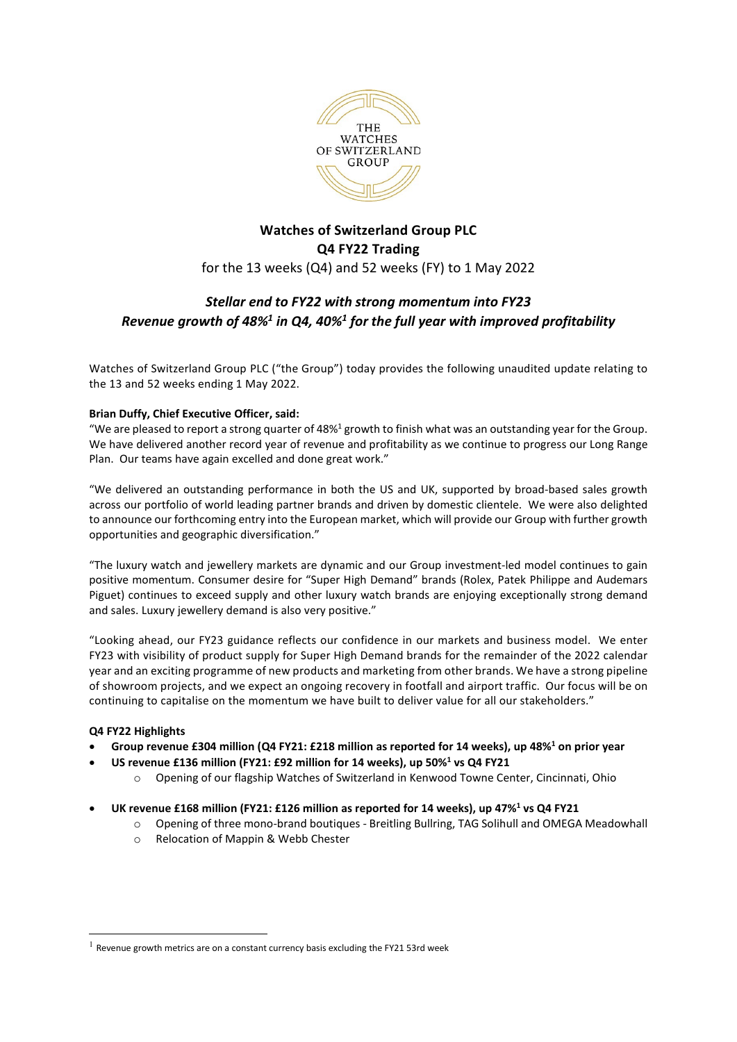

# **Watches of Switzerland Group PLC Q4 FY22 Trading** for the 13 weeks (Q4) and 52 weeks (FY) to 1 May 2022

# *Stellar end to FY22 with strong momentum into FY23 Revenue growth of 48%1 in Q4, 40%1 for the full year with improved profitability*

Watches of Switzerland Group PLC ("the Group") today provides the following unaudited update relating to the 13 and 52 weeks ending 1 May 2022.

## **Brian Duffy, Chief Executive Officer, said:**

"We are pleased to report a strong quarter of  $48\%$ <sup>1</sup> growth to finish what was an outstanding year for the Group. We have delivered another record year of revenue and profitability as we continue to progress our Long Range Plan. Our teams have again excelled and done great work."

"We delivered an outstanding performance in both the US and UK, supported by broad-based sales growth across our portfolio of world leading partner brands and driven by domestic clientele. We were also delighted to announce our forthcoming entry into the European market, which will provide our Group with further growth opportunities and geographic diversification."

"The luxury watch and jewellery markets are dynamic and our Group investment-led model continues to gain positive momentum. Consumer desire for "Super High Demand" brands (Rolex, Patek Philippe and Audemars Piguet) continues to exceed supply and other luxury watch brands are enjoying exceptionally strong demand and sales. Luxury jewellery demand is also very positive."

"Looking ahead, our FY23 guidance reflects our confidence in our markets and business model. We enter FY23 with visibility of product supply for Super High Demand brands for the remainder of the 2022 calendar year and an exciting programme of new products and marketing from other brands. We have a strong pipeline of showroom projects, and we expect an ongoing recovery in footfall and airport traffic. Our focus will be on continuing to capitalise on the momentum we have built to deliver value for all our stakeholders."

## **Q4 FY22 Highlights**

- **Group revenue £304 million (Q4 FY21: £218 million as reported for 14 weeks), up 48%1 on prior year**
- **US revenue £136 million (FY21: £92 million for 14 weeks), up 50%1 vs Q4 FY21**
	- o Opening of our flagship Watches of Switzerland in Kenwood Towne Center, Cincinnati, Ohio
- **UK revenue £168 million (FY21: £126 million as reported for 14 weeks), up 47%1 vs Q4 FY21** 
	- o Opening of three mono-brand boutiques Breitling Bullring, TAG Solihull and OMEGA Meadowhall
	- o Relocation of Mappin & Webb Chester

 $1$  Revenue growth metrics are on a constant currency basis excluding the FY21 53rd week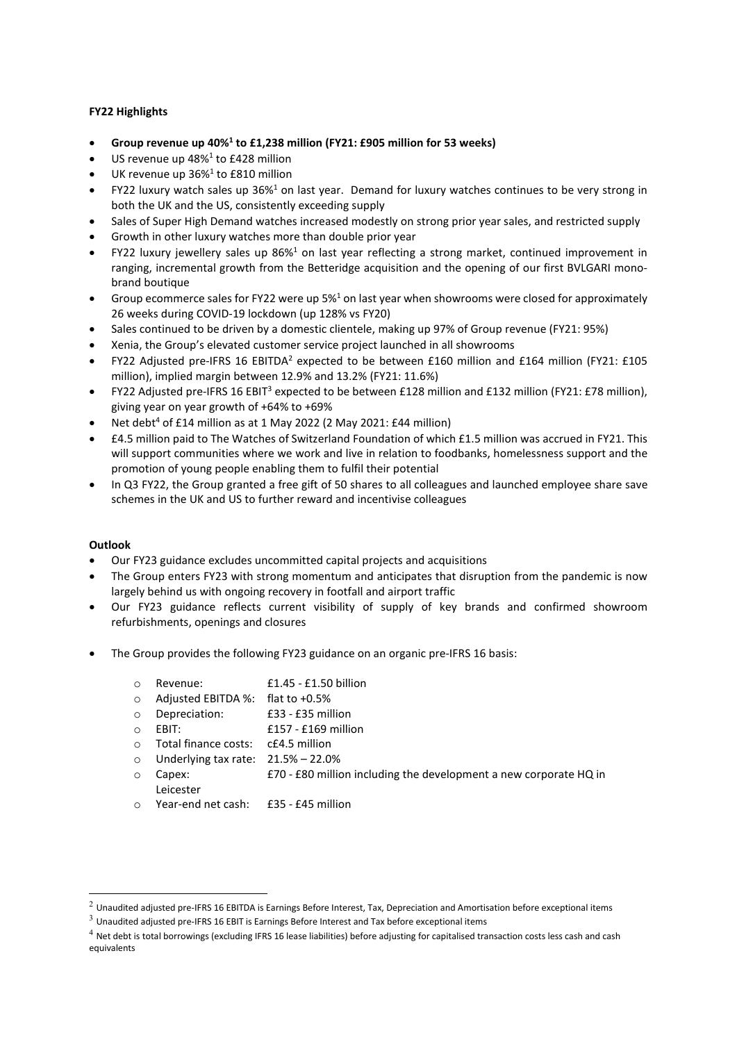## **FY22 Highlights**

- **Group revenue up 40%1 to £1,238 million (FY21: £905 million for 53 weeks)**
- US revenue up  $48\%$ <sup>1</sup> to £428 million
- UK revenue up 36%<sup>1</sup> to £810 million
- FY22 luxury watch sales up 36%<sup>1</sup> on last year. Demand for luxury watches continues to be very strong in both the UK and the US, consistently exceeding supply
- Sales of Super High Demand watches increased modestly on strong prior year sales, and restricted supply
- Growth in other luxury watches more than double prior year
- FY22 luxury jewellery sales up  $86\frac{1}{2}$  on last year reflecting a strong market, continued improvement in ranging, incremental growth from the Betteridge acquisition and the opening of our first BVLGARI monobrand boutique
- Group ecommerce sales for FY22 were up  $5\frac{01}{2}$  on last year when showrooms were closed for approximately 26 weeks during COVID-19 lockdown (up 128% vs FY20)
- Sales continued to be driven by a domestic clientele, making up 97% of Group revenue (FY21: 95%)
- Xenia, the Group's elevated customer service project launched in all showrooms
- FY22 Adjusted pre-IFRS 16 EBITDA2 expected to be between £160 million and £164 million (FY21: £105 million), implied margin between 12.9% and 13.2% (FY21: 11.6%)
- FY22 Adjusted pre-IFRS 16 EBIT3 expected to be between £128 million and £132 million (FY21: £78 million), giving year on year growth of +64% to +69%
- Net debt<sup>4</sup> of £14 million as at 1 May 2022 (2 May 2021: £44 million)
- £4.5 million paid to The Watches of Switzerland Foundation of which £1.5 million was accrued in FY21. This will support communities where we work and live in relation to foodbanks, homelessness support and the promotion of young people enabling them to fulfil their potential
- In Q3 FY22, the Group granted a free gift of 50 shares to all colleagues and launched employee share save schemes in the UK and US to further reward and incentivise colleagues

## **Outlook**

- Our FY23 guidance excludes uncommitted capital projects and acquisitions
- The Group enters FY23 with strong momentum and anticipates that disruption from the pandemic is now largely behind us with ongoing recovery in footfall and airport traffic
- Our FY23 guidance reflects current visibility of supply of key brands and confirmed showroom refurbishments, openings and closures
- The Group provides the following FY23 guidance on an organic pre-IFRS 16 basis:
	- o Revenue: £1.45 £1.50 billion
	- o Adjusted EBITDA %: flat to +0.5%
	- $f33 f35$  million
	- $\circ$  EBIT:  $f157 f169$  million
	- o Total finance costs: c£4.5 million
	- o Underlying tax rate: 21.5% 22.0%
	- o Capex: £70 £80 million including the development a new corporate HQ in Leicester
	- o Year-end net cash: £35 £45 million

 $^2$  Unaudited adjusted pre-IFRS 16 EBITDA is Earnings Before Interest, Tax, Depreciation and Amortisation before exceptional items

 $3$  Unaudited adjusted pre-IFRS 16 EBIT is Earnings Before Interest and Tax before exceptional items

 $4$  Net debt is total borrowings (excluding IFRS 16 lease liabilities) before adjusting for capitalised transaction costs less cash and cash equivalents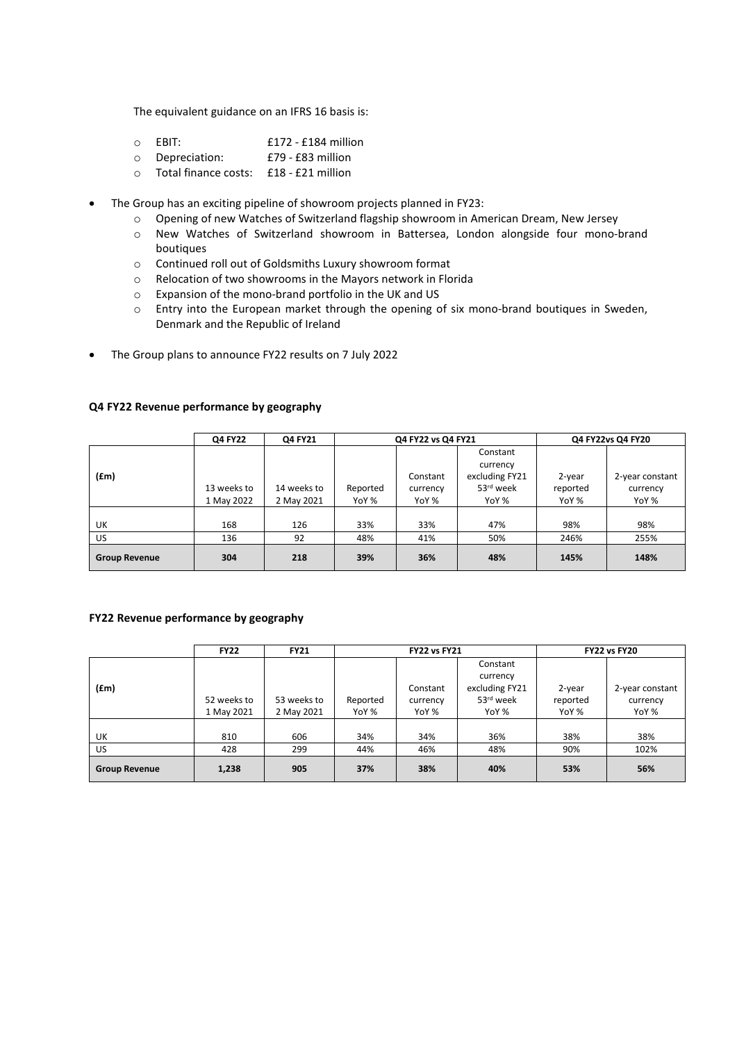The equivalent guidance on an IFRS 16 basis is:

- o EBIT: £172 £184 million
- o Depreciation: £79 £83 million
- o Total finance costs: £18 £21 million
- The Group has an exciting pipeline of showroom projects planned in FY23:
	- o Opening of new Watches of Switzerland flagship showroom in American Dream, New Jersey
	- o New Watches of Switzerland showroom in Battersea, London alongside four mono-brand boutiques
	- o Continued roll out of Goldsmiths Luxury showroom format
	- o Relocation of two showrooms in the Mayors network in Florida
	- o Expansion of the mono-brand portfolio in the UK and US
	- o Entry into the European market through the opening of six mono-brand boutiques in Sweden, Denmark and the Republic of Ireland
- The Group plans to announce FY22 results on 7 July 2022

|                      | Q4 FY22                   | Q4 FY21                   | Q4 FY22 vs Q4 FY21 |                               |                                                                          | Q4 FY22vs Q4 FY20           |                                      |  |
|----------------------|---------------------------|---------------------------|--------------------|-------------------------------|--------------------------------------------------------------------------|-----------------------------|--------------------------------------|--|
| (fm)                 | 13 weeks to<br>1 May 2022 | 14 weeks to<br>2 May 2021 | Reported<br>YoY %  | Constant<br>currency<br>YoY % | Constant<br>currency<br>excluding FY21<br>53 <sup>rd</sup> week<br>YoY % | 2-year<br>reported<br>YoY % | 2-year constant<br>currency<br>YoY % |  |
| UK                   | 168                       | 126                       | 33%                | 33%                           | 47%                                                                      | 98%                         | 98%                                  |  |
| US.                  | 136                       | 92                        | 48%                | 41%                           | 50%                                                                      | 246%                        | 255%                                 |  |
| <b>Group Revenue</b> | 304                       | 218                       | 39%                | 36%                           | 48%                                                                      | 145%                        | 148%                                 |  |

#### **Q4 FY22 Revenue performance by geography**

## **FY22 Revenue performance by geography**

|                      | <b>FY22</b> | <b>FY21</b> | <b>FY22 vs FY21</b> |          |                | <b>FY22 vs FY20</b> |                 |  |
|----------------------|-------------|-------------|---------------------|----------|----------------|---------------------|-----------------|--|
|                      |             |             |                     |          | Constant       |                     |                 |  |
|                      |             |             |                     |          | currency       |                     |                 |  |
| (fm)                 |             |             |                     | Constant | excluding FY21 | 2-year              | 2-year constant |  |
|                      | 52 weeks to | 53 weeks to | Reported            | currency | 53rd week      | reported            | currency        |  |
|                      | 1 May 2021  | 2 May 2021  | YoY %               | YoY %    | YoY %          | YoY %               | YoY %           |  |
|                      |             |             |                     |          |                |                     |                 |  |
| UK                   | 810         | 606         | 34%                 | 34%      | 36%            | 38%                 | 38%             |  |
| US.                  | 428         | 299         | 44%                 | 46%      | 48%            | 90%                 | 102%            |  |
| <b>Group Revenue</b> | 1,238       | 905         | 37%                 | 38%      | 40%            | 53%                 | 56%             |  |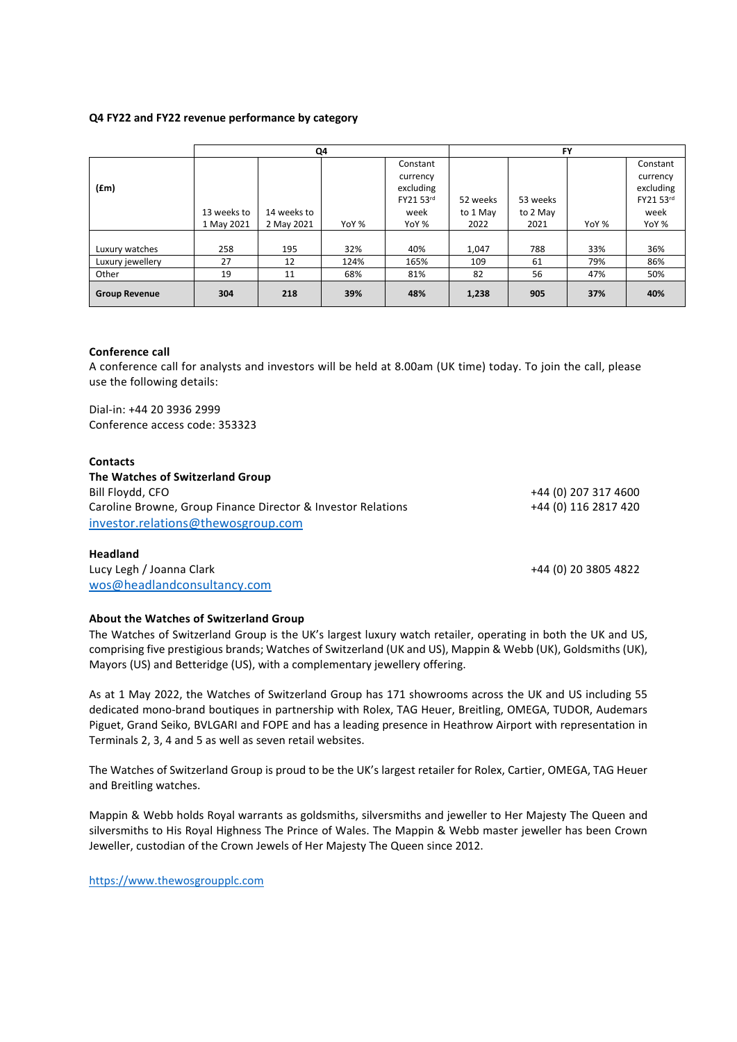#### **Q4 FY22 and FY22 revenue performance by category**

|                      | Q4          |             |       |           | <b>FY</b> |          |       |           |
|----------------------|-------------|-------------|-------|-----------|-----------|----------|-------|-----------|
|                      |             |             |       | Constant  |           |          |       | Constant  |
|                      |             |             |       | currency  |           |          |       | currency  |
| (fm)                 |             |             |       | excluding |           |          |       | excluding |
|                      |             |             |       | FY21 53rd | 52 weeks  | 53 weeks |       | FY21 53rd |
|                      | 13 weeks to | 14 weeks to |       | week      | to 1 May  | to 2 May |       | week      |
|                      | 1 May 2021  | 2 May 2021  | YoY % | YoY %     | 2022      | 2021     | YoY % | YoY %     |
|                      |             |             |       |           |           |          |       |           |
| Luxury watches       | 258         | 195         | 32%   | 40%       | 1,047     | 788      | 33%   | 36%       |
| Luxury jewellery     | 27          | 12          | 124%  | 165%      | 109       | 61       | 79%   | 86%       |
| Other                | 19          | 11          | 68%   | 81%       | 82        | 56       | 47%   | 50%       |
| <b>Group Revenue</b> | 304         | 218         | 39%   | 48%       | 1,238     | 905      | 37%   | 40%       |

#### **Conference call**

A conference call for analysts and investors will be held at 8.00am (UK time) today. To join the call, please use the following details:

Dial-in: +44 20 3936 2999 Conference access code: 353323

#### **Contacts**

| The Watches of Switzerland Group                             |                      |
|--------------------------------------------------------------|----------------------|
| Bill Floydd, CFO                                             | +44 (0) 207 317 4600 |
| Caroline Browne, Group Finance Director & Investor Relations | +44 (0) 116 2817 420 |
| investor.relations@thewosgroup.com                           |                      |

### **Headland**

Lucy Legh / Joanna Clark +44 (0) 20 3805 4822 [wos@headlandconsultancy.com](mailto:wos@headlandconsultancy.com)

## **About the Watches of Switzerland Group**

The Watches of Switzerland Group is the UK's largest luxury watch retailer, operating in both the UK and US, comprising five prestigious brands; Watches of Switzerland (UK and US), Mappin & Webb (UK), Goldsmiths (UK), Mayors (US) and Betteridge (US), with a complementary jewellery offering.

As at 1 May 2022, the Watches of Switzerland Group has 171 showrooms across the UK and US including 55 dedicated mono-brand boutiques in partnership with Rolex, TAG Heuer, Breitling, OMEGA, TUDOR, Audemars Piguet, Grand Seiko, BVLGARI and FOPE and has a leading presence in Heathrow Airport with representation in Terminals 2, 3, 4 and 5 as well as seven retail websites.

The Watches of Switzerland Group is proud to be the UK's largest retailer for Rolex, Cartier, OMEGA, TAG Heuer and Breitling watches.

Mappin & Webb holds Royal warrants as goldsmiths, silversmiths and jeweller to Her Majesty The Queen and silversmiths to His Royal Highness The Prince of Wales. The Mappin & Webb master jeweller has been Crown Jeweller, custodian of the Crown Jewels of Her Majesty The Queen since 2012.

[https://www.thewosgroupplc.com](https://www.thewosgroupplc.com/)